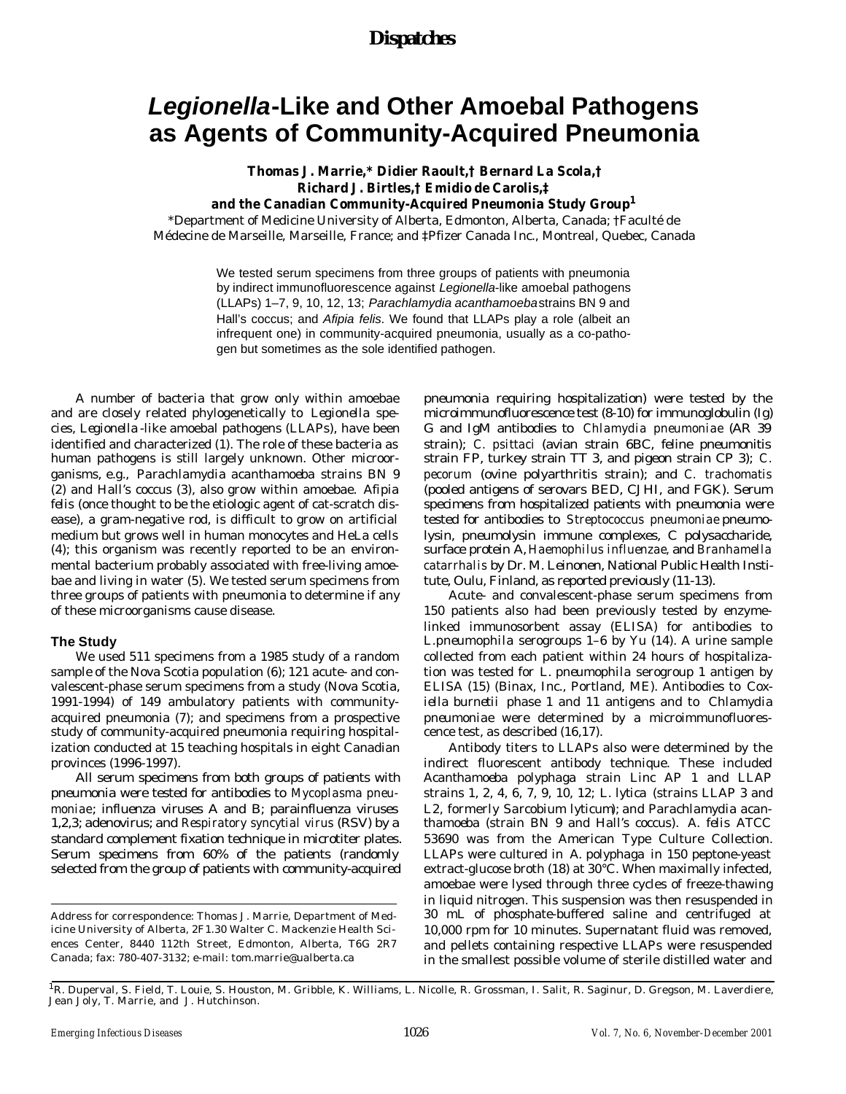## *Dispatches*

# *Legionella***-Like and Other Amoebal Pathogens as Agents of Community-Acquired Pneumonia**

# **Thomas J. Marrie,\* Didier Raoult,† Bernard La Scola,† Richard J. Birtles,† Emidio de Carolis,‡**

**and the Canadian Community-Acquired Pneumonia Study Group<sup>1</sup>**

\*Department of Medicine University of Alberta, Edmonton, Alberta, Canada; †Faculté de Médecine de Marseille, Marseille, France; and ‡Pfizer Canada Inc., Montreal, Quebec, Canada

> We tested serum specimens from three groups of patients with pneumonia by indirect immunofluorescence against *Legionella*-like amoebal pathogens (LLAPs) 1–7, 9, 10, 12, 13; *Parachlamydia acanthamoeba* strains BN 9 and Hall's coccus; and *Afipia felis*. We found that LLAPs play a role (albeit an infrequent one) in community-acquired pneumonia, usually as a co-pathogen but sometimes as the sole identified pathogen.

A number of bacteria that grow only within amoebae and are closely related phylogenetically to *Legionella* species, Legionella-like amoebal pathogens (LLAPs), have been identified and characterized (1). The role of these bacteria as human pathogens is still largely unknown. Other microorganisms, e.g., *Parachlamydia acanthamoeba* strains BN 9 (2) and Hall's coccus (3), also grow within amoebae. *Afipia felis* (once thought to be the etiologic agent of cat-scratch disease), a gram-negative rod, is difficult to grow on artificial medium but grows well in human monocytes and HeLa cells (4); this organism was recently reported to be an environmental bacterium probably associated with free-living amoebae and living in water (5). We tested serum specimens from three groups of patients with pneumonia to determine if any of these microorganisms cause disease.

#### **The Study**

We used 511 specimens from a 1985 study of a random sample of the Nova Scotia population (6); 121 acute- and convalescent-phase serum specimens from a study (Nova Scotia, 1991-1994) of 149 ambulatory patients with communityacquired pneumonia (7); and specimens from a prospective study of community-acquired pneumonia requiring hospitalization conducted at 15 teaching hospitals in eight Canadian provinces (1996-1997).

All serum specimens from both groups of patients with pneumonia were tested for antibodies to *Mycoplasma pneumoniae* ; influenza viruses A and B; parainfluenza viruses 1,2,3; adenovirus; and *Respiratory syncytial virus* (RSV) by a standard complement fixation technique in microtiter plates. Serum specimens from 60% of the patients (randomly selected from the group of patients with community-acquired pneumonia requiring hospitalization) were tested by the microimmunofluorescence test (8-10) for immunoglobulin (Ig) G and IgM antibodies to *Chlamydia pneumoniae* (AR 39 strain); *C. psittaci* (avian strain 6BC, feline pneumonitis strain FP, turkey strain TT 3, and pigeon strain CP 3); *C. pecorum* (ovine polyarthritis strain); and *C. trachomatis* (pooled antigens of serovars BED, CJHI, and FGK). Serum specimens from hospitalized patients with pneumonia were tested for antibodies to *Streptococcus pneumoniae* pneumolysin, pneumolysin immune complexes, C polysaccharide, surface protein A, *Haemophilus influenzae,* and *Branhamella catarrhalis* by Dr. M. Leinonen, National Public Health Institute, Oulu, Finland, as reported previously (11-13).

Acute- and convalescent-phase serum specimens from 150 patients also had been previously tested by enzymelinked immunosorbent assay (ELISA) for antibodies to *L.pneumophila* serogroups 1–6 by Yu (14). A urine sample collected from each patient within 24 hours of hospitalization was tested for *L. pneumophila* serogroup 1 antigen by ELISA (15) (Binax, Inc., Portland, ME). Antibodies to *Coxiella burnetii* phase 1 and 11 antigens and to *Chlamydia pneumoniae* were determined by a microimmunofluorescence test, as described (16,17).

Antibody titers to LLAPs also were determined by the indirect fluorescent antibody technique. These included *Acanthamoeba polyphaga* strain Linc AP 1 and LLAP strains 1, 2, 4, 6, 7, 9, 10, 12; *L. lytica* (strains LLAP 3 and L2, formerly *Sarcobium lyticum*); and *Parachlamydia acanthamoeba* (strain BN 9 and Hall's coccus). *A. felis* ATCC 53690 was from the American Type Culture Collection. LLAPs were cultured in *A. polyphaga* in 150 peptone-yeast extract-glucose broth (18) at 30°C. When maximally infected, amoebae were lysed through three cycles of freeze-thawing in liquid nitrogen. This suspension was then resuspended in 30 mL of phosphate-buffered saline and centrifuged at 10,000 rpm for 10 minutes. Supernatant fluid was removed, and pellets containing respective LLAPs were resuspended in the smallest possible volume of sterile distilled water and

Address for correspondence: Thomas J. Marrie, Department of Medicine University of Alberta, 2F1.30 Walter C. Mackenzie Health Sciences Center, 8440 112th Street, Edmonton, Alberta, T6G 2R7 Canada; fax: 780-407-3132; e-mail: tom.marrie@ualberta.ca

<sup>&</sup>lt;sup>1</sup>R. Duperval, S. Field, T. Louie, S. Houston, M. Gribble, K. Williams, L. Nicolle, R. Grossman, I. Salit, R. Saginur, D. Gregson, M. Laverdiere, Jean Joly, T. Marrie, and J. Hutchinson.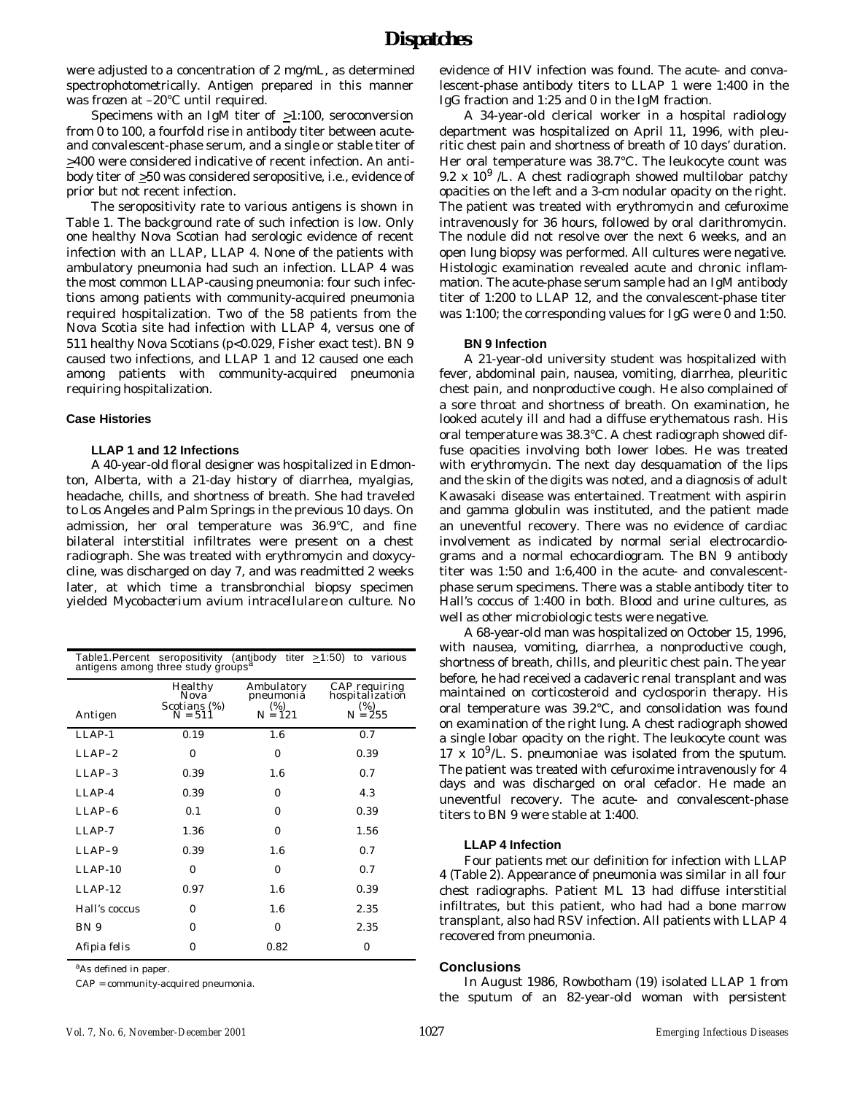were adjusted to a concentration of 2 mg/mL, as determined spectrophotometrically. Antigen prepared in this manner was frozen at –20°C until required.

Specimens with an IgM titer of >1:100, seroconversion from 0 to 100, a fourfold rise in antibody titer between acuteand convalescent-phase serum, and a single or stable titer of >400 were considered indicative of recent infection. An antibody titer of >50 was considered seropositive, i.e., evidence of prior but not recent infection.

The seropositivity rate to various antigens is shown in Table 1. The background rate of such infection is low. Only one healthy Nova Scotian had serologic evidence of recent infection with an LLAP, LLAP 4. None of the patients with ambulatory pneumonia had such an infection. LLAP 4 was the most common LLAP-causing pneumonia: four such infections among patients with community-acquired pneumonia required hospitalization. Two of the 58 patients from the Nova Scotia site had infection with LLAP 4, versus one of 511 healthy Nova Scotians (p<0.029, Fisher exact test). BN 9 caused two infections, and LLAP 1 and 12 caused one each among patients with community-acquired pneumonia requiring hospitalization.

### **Case Histories**

### **LLAP 1 and 12 Infections**

A 40-year-old floral designer was hospitalized in Edmonton, Alberta, with a 21-day history of diarrhea, myalgias, headache, chills, and shortness of breath. She had traveled to Los Angeles and Palm Springs in the previous 10 days. On admission, her oral temperature was 36.9°C, and fine bilateral interstitial infiltrates were present on a chest radiograph. She was treated with erythromycin and doxycycline, was discharged on day 7, and was readmitted 2 weeks later, at which time a transbronchial biopsy specimen yielded *Mycobacterium avium intracellulare* on culture. No

| Table1. Percent seropositivity (antibody titer $\geq$ 1:50) to various antigens among three study groups <sup>a</sup> |                                                           |                                                |                                                         |  |  |  |  |  |  |  |  |
|-----------------------------------------------------------------------------------------------------------------------|-----------------------------------------------------------|------------------------------------------------|---------------------------------------------------------|--|--|--|--|--|--|--|--|
| Antigen                                                                                                               | Healthy<br>Nova <sup>-</sup><br>Scotians (%)<br>$N = 511$ | Ambulatory<br>pneumoniă<br>$(\%)$<br>$N = 121$ | CAP requiring<br>hospitalization<br>$(\%)$<br>$N = 255$ |  |  |  |  |  |  |  |  |
| LLAP-1                                                                                                                | 0.19                                                      | 1.6                                            | 0.7                                                     |  |  |  |  |  |  |  |  |
| $LLAP-2$                                                                                                              | 0                                                         | 0                                              | 0.39                                                    |  |  |  |  |  |  |  |  |
| $LLAP-3$                                                                                                              | 0.39                                                      | 1.6                                            | 0.7                                                     |  |  |  |  |  |  |  |  |
| $I.J.AP-4$                                                                                                            | 0.39                                                      | O                                              | 4.3                                                     |  |  |  |  |  |  |  |  |
| $LLAP-6$                                                                                                              | 0.1                                                       | 0                                              | 0.39                                                    |  |  |  |  |  |  |  |  |
| $I.J.AP-7$                                                                                                            | 1.36                                                      | $\Omega$                                       | 1.56                                                    |  |  |  |  |  |  |  |  |
| $LLAP-9$                                                                                                              | 0.39                                                      | 1.6                                            | 0.7                                                     |  |  |  |  |  |  |  |  |
| $LLAP-10$                                                                                                             | $\Omega$                                                  | $\Omega$                                       | 0.7                                                     |  |  |  |  |  |  |  |  |
| $LLAP-12$                                                                                                             | 0.97                                                      | 1.6                                            | 0.39                                                    |  |  |  |  |  |  |  |  |
| Hall's coccus                                                                                                         | 0                                                         | 1.6                                            | 2.35                                                    |  |  |  |  |  |  |  |  |
| BN 9                                                                                                                  | 0                                                         | 0                                              | 2.35                                                    |  |  |  |  |  |  |  |  |
| Afipia felis                                                                                                          | 0                                                         | 0.82                                           | $\Omega$                                                |  |  |  |  |  |  |  |  |

<sup>a</sup>As defined in paper.

CAP = community-acquired pneumonia.

evidence of HIV infection was found. The acute- and convalescent-phase antibody titers to LLAP 1 were 1:400 in the IgG fraction and 1:25 and 0 in the IgM fraction.

A 34-year-old clerical worker in a hospital radiology department was hospitalized on April 11, 1996, with pleuritic chest pain and shortness of breath of 10 days' duration. Her oral temperature was 38.7°C. The leukocyte count was 9.2 x 10<sup>9</sup> /L. A chest radiograph showed multilobar patchy opacities on the left and a 3-cm nodular opacity on the right. The patient was treated with erythromycin and cefuroxime intravenously for 36 hours, followed by oral clarithromycin. The nodule did not resolve over the next 6 weeks, and an open lung biopsy was performed. All cultures were negative. Histologic examination revealed acute and chronic inflammation. The acute-phase serum sample had an IgM antibody titer of 1:200 to LLAP 12, and the convalescent-phase titer was 1:100; the corresponding values for IgG were 0 and 1:50.

#### **BN 9 Infection**

A 21-year-old university student was hospitalized with fever, abdominal pain, nausea, vomiting, diarrhea, pleuritic chest pain, and nonproductive cough. He also complained of a sore throat and shortness of breath. On examination, he looked acutely ill and had a diffuse erythematous rash. His oral temperature was 38.3°C. A chest radiograph showed diffuse opacities involving both lower lobes. He was treated with erythromycin. The next day desquamation of the lips and the skin of the digits was noted, and a diagnosis of adult Kawasaki disease was entertained. Treatment with aspirin and gamma globulin was instituted, and the patient made an uneventful recovery. There was no evidence of cardiac involvement as indicated by normal serial electrocardiograms and a normal echocardiogram. The BN 9 antibody titer was 1:50 and 1:6,400 in the acute- and convalescentphase serum specimens. There was a stable antibody titer to Hall's coccus of 1:400 in both. Blood and urine cultures, as well as other microbiologic tests were negative.

A 68-year-old man was hospitalized on October 15, 1996, with nausea, vomiting, diarrhea, a nonproductive cough, shortness of breath, chills, and pleuritic chest pain. The year before, he had received a cadaveric renal transplant and was maintained on corticosteroid and cyclosporin therapy. His oral temperature was 39.2°C, and consolidation was found on examination of the right lung. A chest radiograph showed a single lobar opacity on the right. The leukocyte count was 17 x 10<sup>9</sup> /L*. S. pneumoniae* was isolated from the sputum. The patient was treated with cefuroxime intravenously for 4 days and was discharged on oral cefaclor. He made an uneventful recovery. The acute- and convalescent-phase titers to BN 9 were stable at 1:400.

### **LLAP 4 Infection**

Four patients met our definition for infection with LLAP 4 (Table 2). Appearance of pneumonia was similar in all four chest radiographs. Patient ML 13 had diffuse interstitial infiltrates, but this patient, who had had a bone marrow transplant, also had RSV infection. All patients with LLAP 4 recovered from pneumonia.

### **Conclusions**

In August 1986, Rowbotham (19) isolated LLAP 1 from the sputum of an 82-year-old woman with persistent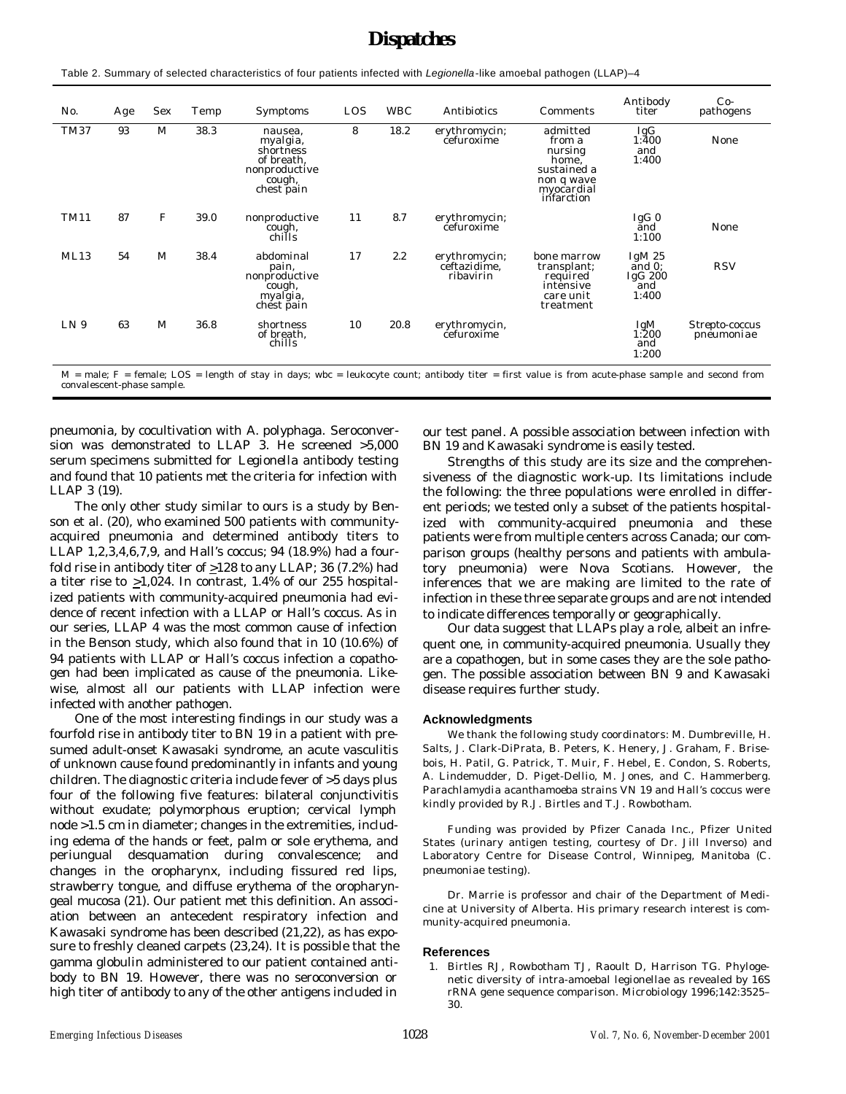# *Dispatches*

Table 2. Summary of selected characteristics of four patients infected with *Legionella*-like amoebal pathogen (LLAP)–4

| No.                                                                                                                                                    | Age | Sex | Temp | Symptoms                                                                                | LOS | <b>WBC</b> | Antibiotics                                | Comments                                                                                        | Antibody<br>titer                                | $Co-$<br>pathogens           |
|--------------------------------------------------------------------------------------------------------------------------------------------------------|-----|-----|------|-----------------------------------------------------------------------------------------|-----|------------|--------------------------------------------|-------------------------------------------------------------------------------------------------|--------------------------------------------------|------------------------------|
| TM37                                                                                                                                                   | 93  | М   | 38.3 | nausea.<br>myalgia,<br>shortness<br>of breath.<br>nonproductive<br>cough,<br>chest pain | 8   | 18.2       | erythromycin;<br>čefuroxime                | admitted<br>from a<br>nursing<br>home.<br>sustained a<br>non q wave<br>myocardial<br>infarction | $I_{1:400}^{SG}$<br>and<br>1:400                 | None                         |
| TM11                                                                                                                                                   | 87  | F   | 39.0 | nonproductive<br>cough,<br>chills                                                       | 11  | 8.7        | erythromycin;<br>čefuroxime                |                                                                                                 | IgG <sub>0</sub><br>ānd<br>1:100                 | None                         |
| ML13                                                                                                                                                   | 54  | M   | 38.4 | abdominal<br>pain,<br>nonproductive<br>cough,<br>myalgia,<br>chest pain                 | 17  | 2.2        | erythromycin;<br>ceftazidime.<br>ribavirin | bone marrow<br>transplant:<br>required<br>intensive<br>care unit<br>treatment                   | Ig $M25$<br>and $0$ :<br>IgG 200<br>and<br>1:400 | <b>RSV</b>                   |
| LN <sub>9</sub>                                                                                                                                        | 63  | M   | 36.8 | shortness<br>of breath.<br>chills                                                       | 10  | 20.8       | erythromycin,<br>čefuroxime                |                                                                                                 | IgM<br>1:200<br>and<br>1:200                     | Strepto-coccus<br>pneumoniae |
| $M =$ male: $F =$ female: LOS = length of stay in days: wbc = leukocyte count: antibody titer = first value is from acute-phase sample and second from |     |     |      |                                                                                         |     |            |                                            |                                                                                                 |                                                  |                              |

M = male; F = female; LOS = length of stay in days; wbc = leukocyte count; antibody titer = first value is from acute-phase sample and second from convalescent-phase sample.

pneumonia, by cocultivation with *A. polyphaga.* Seroconversion was demonstrated to LLAP 3. He screened >5,000 serum specimens submitted for *Legionella* antibody testing and found that 10 patients met the criteria for infection with LLAP 3 (19).

The only other study similar to ours is a study by Benson et al. (20), who examined 500 patients with communityacquired pneumonia and determined antibody titers to LLAP 1,2,3,4,6,7,9, and Hall's coccus; 94 (18.9%) had a fourfold rise in antibody titer of >128 to any LLAP; 36 (7.2%) had a titer rise to  $\geq 1,024$ . In contrast, 1.4% of our 255 hospitalized patients with community-acquired pneumonia had evidence of recent infection with a LLAP or Hall's coccus. As in our series, LLAP 4 was the most common cause of infection in the Benson study, which also found that in 10 (10.6%) of 94 patients with LLAP or Hall's coccus infection a copathogen had been implicated as cause of the pneumonia. Likewise, almost all our patients with LLAP infection were infected with another pathogen.

One of the most interesting findings in our study was a fourfold rise in antibody titer to BN 19 in a patient with presumed adult-onset Kawasaki syndrome, an acute vasculitis of unknown cause found predominantly in infants and young children. The diagnostic criteria include fever of >5 days plus four of the following five features: bilateral conjunctivitis without exudate; polymorphous eruption; cervical lymph node >1.5 cm in diameter; changes in the extremities, including edema of the hands or feet, palm or sole erythema, and periungual desquamation during convalescence; and changes in the oropharynx, including fissured red lips, strawberry tongue, and diffuse erythema of the oropharyngeal mucosa (21). Our patient met this definition. An association between an antecedent respiratory infection and Kawasaki syndrome has been described (21,22), as has exposure to freshly cleaned carpets (23,24). It is possible that the gamma globulin administered to our patient contained antibody to BN 19. However, there was no seroconversion or high titer of antibody to any of the other antigens included in

our test panel. A possible association between infection with BN 19 and Kawasaki syndrome is easily tested.

Strengths of this study are its size and the comprehensiveness of the diagnostic work-up. Its limitations include the following: the three populations were enrolled in different periods; we tested only a subset of the patients hospitalized with community-acquired pneumonia and these patients were from multiple centers across Canada; our comparison groups (healthy persons and patients with ambulatory pneumonia) were Nova Scotians. However, the inferences that we are making are limited to the rate of infection in these three separate groups and are not intended to indicate differences temporally or geographically.

Our data suggest that LLAPs play a role, albeit an infrequent one, in community-acquired pneumonia. Usually they are a copathogen, but in some cases they are the sole pathogen. The possible association between BN 9 and Kawasaki disease requires further study.

#### **Acknowledgments**

We thank the following study coordinators: M. Dumbreville, H. Salts, J. Clark-DiPrata, B. Peters, K. Henery, J. Graham, F. Brisebois, H. Patil, G. Patrick, T. Muir, F. Hebel, E. Condon, S. Roberts, A. Lindemudder, D. Piget-Dellio, M. Jones, and C. Hammerberg. *Parachlamydia acanthamoeba* strains VN 19 and Hall's coccus were kindly provided by R.J. Birtles and T.J. Rowbotham.

Funding was provided by Pfizer Canada Inc., Pfizer United States (urinary antigen testing, courtesy of Dr. Jill Inverso) and Laboratory Centre for Disease Control, Winnipeg, Manitoba (*C. pneumoniae* testing).

Dr. Marrie is professor and chair of the Department of Medicine at University of Alberta. His primary research interest is community-acquired pneumonia.

#### **References**

 1. Birtles RJ, Rowbotham TJ, Raoult D, Harrison TG. Phylogenetic diversity of intra-amoebal legionellae as revealed by 16S rRNA gene sequence comparison. Microbiology 1996;142:3525– 30.